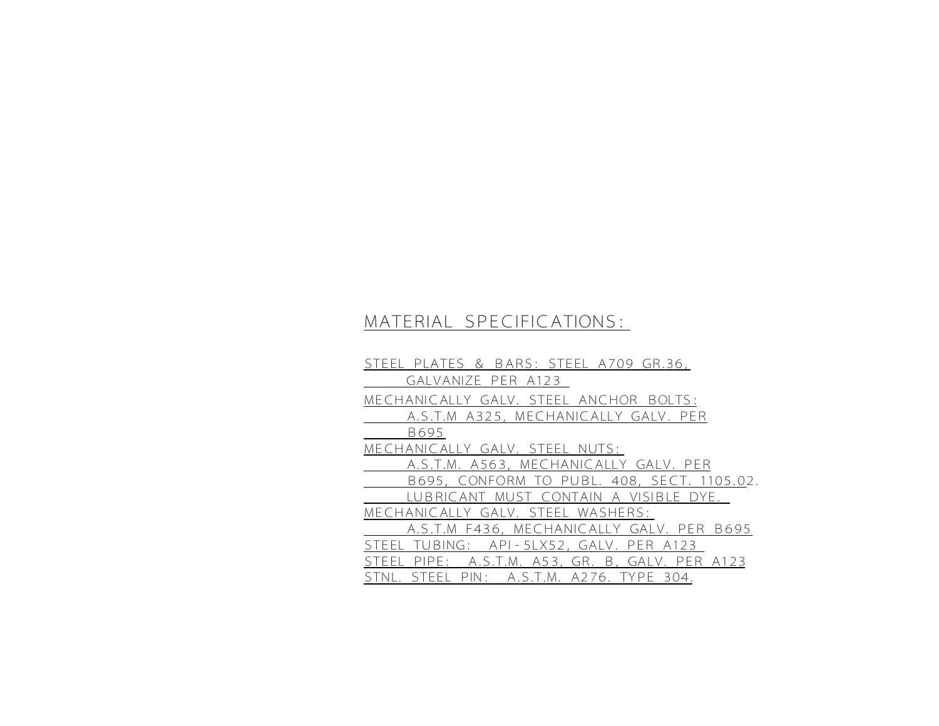## MATERIAL SPECIFICATIONS:

STEEL PLATES & BARS: STEEL A709 GR.36, GALVANIZE PER A123 MECHANICALLY GALV. STEEL ANCHOR BOLTS: A.S.T.M A325, MECHANICALLY GALV. PER B695 MECHANICALLY GALV. STEEL NUTS: A.S.T.M. A563, MECHANICALLY GALV. PER B695, CONFORM TO PUBL. 408, SECT. 1105.02. LUBRICANT MUST CONTAIN A VISIBLE DYE. MECHANICALLY GALV. STEEL WASHERS: A.S.T.M F436, MECHANICALLY GALV. PER B695 STEEL TUBING: API-5LX52, GALV. PER A123 STEEL PIPE: A.S.T.M. A53, GR. B, GALV. PER A123 STNL. STEEL PIN: A.S.T.M. A276. TYPE 304.